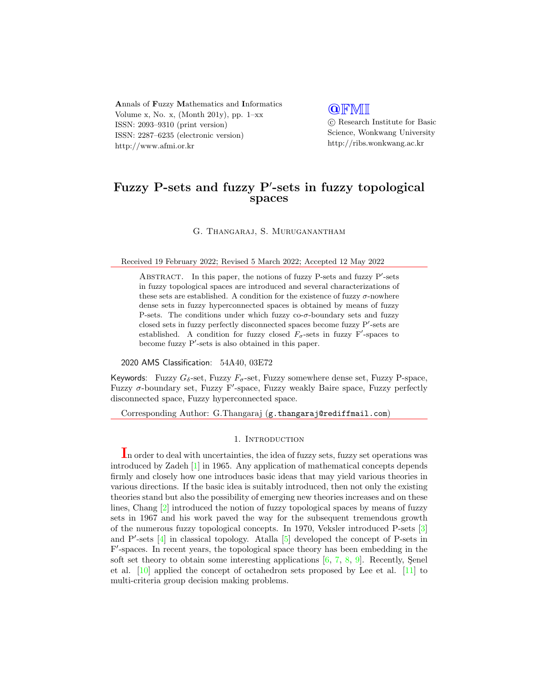Annals of Fuzzy Mathematics and Informatics Volume x, No. x, (Month 201y), pp.  $1-xx$ ISSN: 2093–9310 (print version) ISSN: 2287–6235 (electronic version) http://www.afmi.or.kr

## **QFMI**

 c Research Institute for Basic Science, Wonkwang University http://ribs.wonkwang.ac.kr

# Fuzzy P-sets and fuzzy P'-sets in fuzzy topological spaces

G. Thangaraj, S. Muruganantham

Received 19 February 2022; Revised 5 March 2022; Accepted 12 May 2022

ABSTRACT. In this paper, the notions of fuzzy P-sets and fuzzy P'-sets in fuzzy topological spaces are introduced and several characterizations of these sets are established. A condition for the existence of fuzzy  $\sigma$ -nowhere dense sets in fuzzy hyperconnected spaces is obtained by means of fuzzy P-sets. The conditions under which fuzzy  $\cos \sigma$ -boundary sets and fuzzy closed sets in fuzzy perfectly disconnected spaces become fuzzy P'-sets are established. A condition for fuzzy closed  $F_{\sigma}$ -sets in fuzzy F'-spaces to become fuzzy  $P'$ -sets is also obtained in this paper.

2020 AMS Classification: 54A40, 03E72

Keywords: Fuzzy  $G_{\delta}$ -set, Fuzzy  $F_{\sigma}$ -set, Fuzzy somewhere dense set, Fuzzy P-space, Fuzzy  $\sigma$ -boundary set, Fuzzy F'-space, Fuzzy weakly Baire space, Fuzzy perfectly disconnected space, Fuzzy hyperconnected space.

Corresponding Author: G.Thangaraj (g.thangaraj@rediffmail.com)

### 1. INTRODUCTION

In order to deal with uncertainties, the idea of fuzzy sets, fuzzy set operations was introduced by Zadeh [\[1\]](#page-12-0) in 1965. Any application of mathematical concepts depends firmly and closely how one introduces basic ideas that may yield various theories in various directions. If the basic idea is suitably introduced, then not only the existing theories stand but also the possibility of emerging new theories increases and on these lines, Chang [\[2\]](#page-12-1) introduced the notion of fuzzy topological spaces by means of fuzzy sets in 1967 and his work paved the way for the subsequent tremendous growth of the numerous fuzzy topological concepts. In 1970, Veksler introduced P-sets [\[3\]](#page-12-2) and  $P'$ -sets  $[4]$  in classical topology. Atalla  $[5]$  developed the concept of P-sets in F'-spaces. In recent years, the topological space theory has been embedding in the soft set theory to obtain some interesting applications  $[6, 7, 8, 9]$  $[6, 7, 8, 9]$  $[6, 7, 8, 9]$  $[6, 7, 8, 9]$  $[6, 7, 8, 9]$  $[6, 7, 8, 9]$  $[6, 7, 8, 9]$ . Recently, Senel et al. [\[10\]](#page-12-9) applied the concept of octahedron sets proposed by Lee et al. [\[11\]](#page-12-10) to multi-criteria group decision making problems.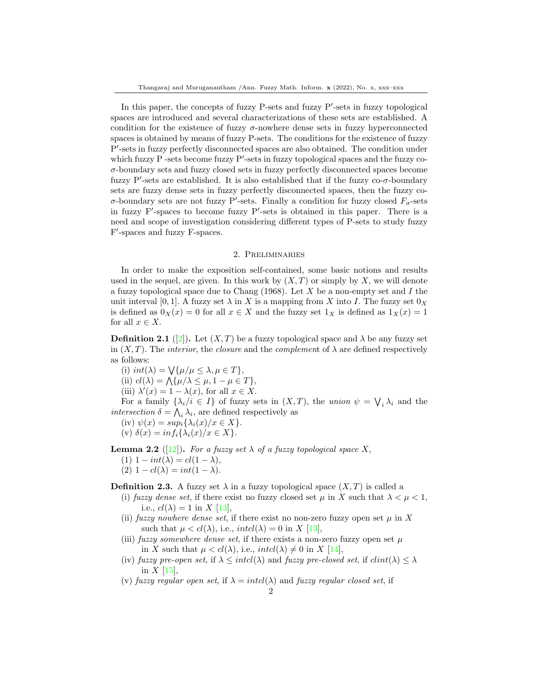In this paper, the concepts of fuzzy P-sets and fuzzy P'-sets in fuzzy topological spaces are introduced and several characterizations of these sets are established. A condition for the existence of fuzzy  $\sigma$ -nowhere dense sets in fuzzy hyperconnected spaces is obtained by means of fuzzy P-sets. The conditions for the existence of fuzzy P'-sets in fuzzy perfectly disconnected spaces are also obtained. The condition under which fuzzy  $P$  -sets become fuzzy  $P'$ -sets in fuzzy topological spaces and the fuzzy co- $\sigma$ -boundary sets and fuzzy closed sets in fuzzy perfectly disconnected spaces become fuzzy  $P'$ -sets are established. It is also established that if the fuzzy co- $\sigma$ -boundary sets are fuzzy dense sets in fuzzy perfectly disconnected spaces, then the fuzzy co- $\sigma$ -boundary sets are not fuzzy P'-sets. Finally a condition for fuzzy closed  $F_{\sigma}$ -sets in fuzzy  $F'$ -spaces to become fuzzy  $P'$ -sets is obtained in this paper. There is a need and scope of investigation considering different types of P-sets to study fuzzy F'-spaces and fuzzy F-spaces.

### 2. Preliminaries

In order to make the exposition self-contained, some basic notions and results used in the sequel, are given. In this work by  $(X, T)$  or simply by X, we will denote a fuzzy topological space due to Chang  $(1968)$ . Let X be a non-empty set and I the unit interval [0, 1]. A fuzzy set  $\lambda$  in X is a mapping from X into I. The fuzzy set  $0_X$ is defined as  $0_X(x) = 0$  for all  $x \in X$  and the fuzzy set  $1_X$  is defined as  $1_X(x) = 1$ for all  $x \in X$ .

**Definition 2.1** ([\[2\]](#page-12-1)). Let  $(X, T)$  be a fuzzy topological space and  $\lambda$  be any fuzzy set in  $(X, T)$ . The *interior*, the *closure* and the *complement* of  $\lambda$  are defined respectively as follows:

(i)  $int(\lambda) = \bigvee \{ \mu/\mu \leq \lambda, \mu \in T \},\$ (ii)  $cl(\lambda) = \bigwedge \{ \mu/\lambda \leq \mu, 1 - \mu \in T \},\$ 

(iii)  $\lambda'(x) = 1 - \lambda(x)$ , for all  $x \in X$ .

For a family  $\{\lambda_i/i \in I\}$  of fuzzy sets in  $(X,T)$ , the union  $\psi = \bigvee_i \lambda_i$  and the intersection  $\delta = \bigwedge_i \lambda_i$ , are defined respectively as

(iv) 
$$
\psi(x) = \sup_i {\lambda_i(x)/x \in X}
$$
.  
(v)  $\delta(x) = \inf_i {\lambda_i(x)/x \in X}$ .

<span id="page-1-0"></span>**Lemma 2.2** ([\[12\]](#page-12-11)). For a fuzzy set  $\lambda$  of a fuzzy topological space X,

- (1)  $1 int(\lambda) = cl(1 \lambda),$
- (2)  $1 cl(\lambda) = int(1 \lambda)$ .

**Definition 2.3.** A fuzzy set  $\lambda$  in a fuzzy topological space  $(X, T)$  is called a

- (i) fuzzy dense set, if there exist no fuzzy closed set  $\mu$  in X such that  $\lambda < \mu < 1$ , i.e.,  $cl(\lambda) = 1$  in X [\[13\]](#page-12-12),
- (ii) fuzzy nowhere dense set, if there exist no non-zero fuzzy open set  $\mu$  in X such that  $\mu < cl(\lambda)$ , i.e.,  $intcl(\lambda) = 0$  in X [\[13\]](#page-12-12),
- (iii) fuzzy somewhere dense set, if there exists a non-zero fuzzy open set  $\mu$ in X such that  $\mu < cl(\lambda)$ , i.e.,  $intcl(\lambda) \neq 0$  in X [\[14\]](#page-13-0),
- (iv) fuzzy pre-open set, if  $\lambda \leq intcl(\lambda)$  and fuzzy pre-closed set, if  $clint(\lambda) \leq \lambda$ in  $X$  [\[15\]](#page-13-1),
- (v) fuzzy regular open set, if  $\lambda = intcl(\lambda)$  and fuzzy regular closed set, if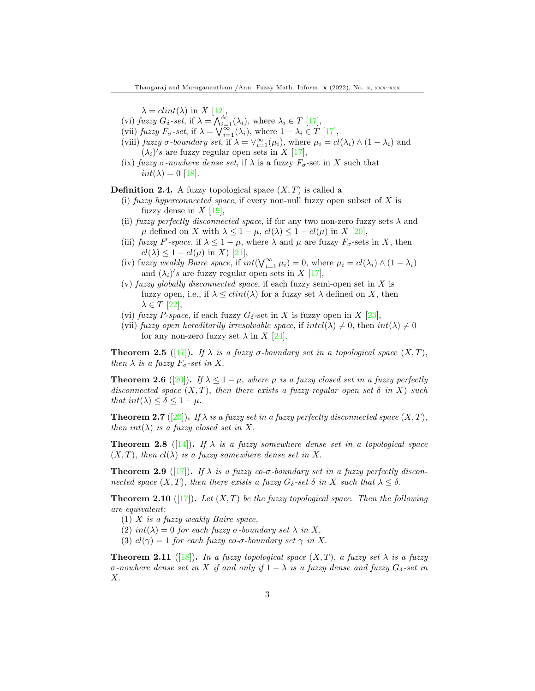$\lambda = clint(\lambda)$  in X [\[12\]](#page-12-11),

- (vi) fuzzy  $G_{\delta}$ -set, if  $\lambda = \bigwedge_{i=1}^{\infty} (\lambda_i)$ , where  $\lambda_i \in T$  [\[17\]](#page-13-2),
- (vii) fuzzy  $F_{\sigma}$ -set, if  $\lambda = \bigvee_{i=1}^{\infty} (\lambda_i)$ , where  $1 \lambda_i \in T$  [\[17\]](#page-13-2),
- (viii) fuzzy  $\sigma$ -boundary set, if  $\lambda = \vee_{i=1}^{\infty} (\mu_i)$ , where  $\mu_i = cl(\lambda_i) \wedge (1 \lambda_i)$  and  $(\lambda_i)'s$  are fuzzy regular open sets in X [\[17\]](#page-13-3),
- (ix) fuzzy  $\sigma$ -nowhere dense set, if  $\lambda$  is a fuzzy  $F_{\sigma}$ -set in X such that  $int(\lambda) = 0$  [\[18\]](#page-13-4).

**Definition 2.4.** A fuzzy topological space  $(X, T)$  is called a

- (i) fuzzy hyperconnected space, if every non-null fuzzy open subset of  $X$  is fuzzy dense in  $X$  [\[19\]](#page-13-5),
- (ii) fuzzy perfectly disconnected space, if for any two non-zero fuzzy sets  $\lambda$  and  $\mu$  defined on X with  $\lambda \leq 1 - \mu$ ,  $cl(\lambda) \leq 1 - cl(\mu)$  in X [\[20\]](#page-13-6),
- (iii) fuzzy F'-space, if  $\lambda \leq 1 \mu$ , where  $\lambda$  and  $\mu$  are fuzzy  $F_{\sigma}$ -sets in X, then  $cl(\lambda) \leq 1-cl(\mu)$  in X) [\[21\]](#page-13-7),
- (iv) fuzzy weakly Baire space, if  $int(\bigvee_{i=1}^{\infty} \mu_i) = 0$ , where  $\mu_i = cl(\lambda_i) \wedge (1 \lambda_i)$ and  $(\lambda_i)'s$  are fuzzy regular open sets in X [\[17\]](#page-13-3),
- (v) fuzzy globally disconnected space, if each fuzzy semi-open set in  $X$  is fuzzy open, i.e., if  $\lambda \leq \text{dint}(\lambda)$  for a fuzzy set  $\lambda$  defined on X, then  $\lambda \in T$  [\[22\]](#page-13-8),
- (vi) fuzzy P-space, if each fuzzy  $G_{\delta}$ -set in X is fuzzy open in X [\[23\]](#page-13-9),
- (vii) fuzzy open hereditarily irresolvable space, if  $intcl(\lambda) \neq 0$ , then  $int(\lambda) \neq 0$ for any non-zero fuzzy set  $\lambda$  in X [\[24\]](#page-13-10).

<span id="page-2-0"></span>**Theorem 2.5** ([\[17\]](#page-13-3)). If  $\lambda$  is a fuzzy  $\sigma$ -boundary set in a topological space  $(X, T)$ , then  $\lambda$  is a fuzzy  $F_{\sigma}$ -set in X.

<span id="page-2-2"></span>**Theorem 2.6** ([\[20\]](#page-13-6)). If  $\lambda \leq 1 - \mu$ , where  $\mu$  is a fuzzy closed set in a fuzzy perfectly disconnected space  $(X, T)$ , then there exists a fuzzy regular open set  $\delta$  in X) such that  $int(\lambda) \leq \delta \leq 1 - \mu$ .

<span id="page-2-3"></span>**Theorem 2.7** ([\[20\]](#page-13-6)). If  $\lambda$  is a fuzzy set in a fuzzy perfectly disconnected space  $(X, T)$ , then  $int(\lambda)$  is a fuzzy closed set in X.

<span id="page-2-1"></span>**Theorem 2.8** ([\[14\]](#page-13-0)). If  $\lambda$  is a fuzzy somewhere dense set in a topological space  $(X, T)$ , then  $cl(\lambda)$  is a fuzzy somewhere dense set in X.

<span id="page-2-4"></span>**Theorem 2.9** ([\[17\]](#page-13-3)). If  $\lambda$  is a fuzzy co- $\sigma$ -boundary set in a fuzzy perfectly disconnected space  $(X, T)$ , then there exists a fuzzy  $G_{\delta}$ -set  $\delta$  in X such that  $\lambda \leq \delta$ .

<span id="page-2-5"></span>**Theorem 2.10** ([\[17\]](#page-13-3)). Let  $(X, T)$  be the fuzzy topological space. Then the following are equivalent:

- $(1)$  X is a fuzzy weakly Baire space,
- (2)  $int(\lambda) = 0$  for each fuzzy  $\sigma$ -boundary set  $\lambda$  in X,
- (3)  $cl(\gamma) = 1$  for each fuzzy co-σ-boundary set  $\gamma$  in X.

**Theorem 2.11** ([\[18\]](#page-13-4)). In a fuzzy topological space  $(X, T)$ , a fuzzy set  $\lambda$  is a fuzzy σ-nowhere dense set in X if and only if  $1 - \lambda$  is a fuzzy dense and fuzzy  $G_{\delta}$ -set in X.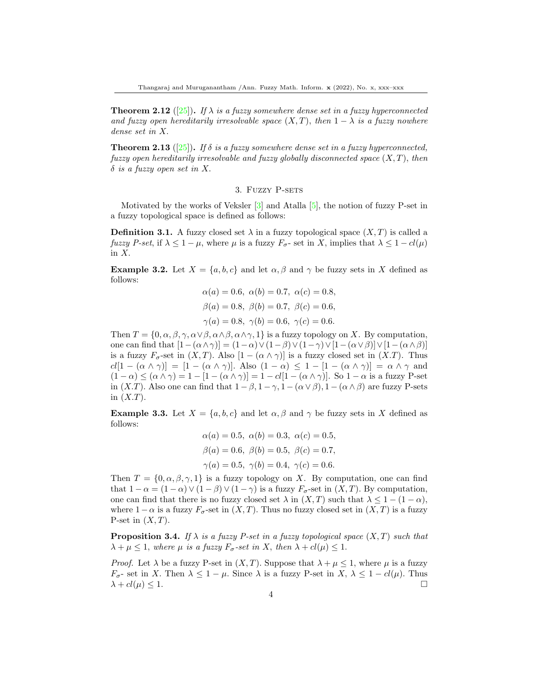<span id="page-3-1"></span>**Theorem 2.12** ([\[25\]](#page-13-11)). If  $\lambda$  is a fuzzy somewhere dense set in a fuzzy hyperconnected and fuzzy open hereditarily irresolvable space  $(X, T)$ , then  $1 - \lambda$  is a fuzzy nowhere dense set in X.

<span id="page-3-2"></span>**Theorem 2.13** ([\[25\]](#page-13-11)). If  $\delta$  is a fuzzy somewhere dense set in a fuzzy hyperconnected, fuzzy open hereditarily irresolvable and fuzzy globally disconnected space  $(X, T)$ , then  $\delta$  is a fuzzy open set in X.

#### 3. Fuzzy P-sets

Motivated by the works of Veksler [\[3\]](#page-12-2) and Atalla [\[5\]](#page-12-4), the notion of fuzzy P-set in a fuzzy topological space is defined as follows:

**Definition 3.1.** A fuzzy closed set  $\lambda$  in a fuzzy topological space  $(X, T)$  is called a fuzzy P-set, if  $\lambda \leq 1 - \mu$ , where  $\mu$  is a fuzzy  $F_{\sigma}$ - set in X, implies that  $\lambda \leq 1 - cl(\mu)$ in X.

**Example 3.2.** Let  $X = \{a, b, c\}$  and let  $\alpha, \beta$  and  $\gamma$  be fuzzy sets in X defined as follows:

$$
\alpha(a) = 0.6, \ \alpha(b) = 0.7, \ \alpha(c) = 0.8,
$$
  
\n $\beta(a) = 0.8, \ \beta(b) = 0.7, \ \beta(c) = 0.6,$   
\n $\gamma(a) = 0.8, \ \gamma(b) = 0.6, \ \gamma(c) = 0.6.$ 

Then  $T = \{0, \alpha, \beta, \gamma, \alpha \vee \beta, \alpha \wedge \beta, \alpha \wedge \gamma, 1\}$  is a fuzzy topology on X. By computation, one can find that  $[1-(\alpha\wedge\gamma)] = (1-\alpha)\vee(1-\beta)\vee(1-\gamma)\vee[1-(\alpha\vee\beta)]\vee[1-(\alpha\wedge\beta)]$ is a fuzzy  $F_{\sigma}$ -set in  $(X,T)$ . Also  $[1 - (\alpha \wedge \gamma)]$  is a fuzzy closed set in  $(X,T)$ . Thus  $cl[1 - (\alpha \wedge \gamma)] = [1 - (\alpha \wedge \gamma)]$ . Also  $(1 - \alpha) \leq 1 - [1 - (\alpha \wedge \gamma)] = \alpha \wedge \gamma$  and  $(1 - \alpha) \leq (\alpha \wedge \gamma) = 1 - [1 - (\alpha \wedge \gamma)] = 1 - cl[1 - (\alpha \wedge \gamma)]$ . So  $1 - \alpha$  is a fuzzy P-set in  $(X,T)$ . Also one can find that  $1 - \beta$ ,  $1 - \gamma$ ,  $1 - (\alpha \vee \beta)$ ,  $1 - (\alpha \wedge \beta)$  are fuzzy P-sets in  $(X.T)$ .

**Example 3.3.** Let  $X = \{a, b, c\}$  and let  $\alpha, \beta$  and  $\gamma$  be fuzzy sets in X defined as follows:

$$
\alpha(a) = 0.5, \ \alpha(b) = 0.3, \ \alpha(c) = 0.5,
$$
  
\n $\beta(a) = 0.6, \ \beta(b) = 0.5, \ \beta(c) = 0.7,$   
\n $\gamma(a) = 0.5, \ \gamma(b) = 0.4, \ \gamma(c) = 0.6.$ 

Then  $T = \{0, \alpha, \beta, \gamma, 1\}$  is a fuzzy topology on X. By computation, one can find that  $1 - \alpha = (1 - \alpha) \vee (1 - \beta) \vee (1 - \gamma)$  is a fuzzy  $F_{\sigma}$ -set in  $(X, T)$ . By computation, one can find that there is no fuzzy closed set  $\lambda$  in  $(X, T)$  such that  $\lambda \leq 1 - (1 - \alpha)$ , where  $1-\alpha$  is a fuzzy  $F_{\sigma}$ -set in  $(X,T)$ . Thus no fuzzy closed set in  $(X,T)$  is a fuzzy P-set in  $(X, T)$ .

<span id="page-3-0"></span>**Proposition 3.4.** If  $\lambda$  is a fuzzy P-set in a fuzzy topological space  $(X, T)$  such that  $\lambda + \mu \leq 1$ , where  $\mu$  is a fuzzy  $F_{\sigma}$ -set in X, then  $\lambda + cl(\mu) \leq 1$ .

*Proof.* Let  $\lambda$  be a fuzzy P-set in  $(X, T)$ . Suppose that  $\lambda + \mu \leq 1$ , where  $\mu$  is a fuzzy  $F_{\sigma}$ - set in X. Then  $\lambda \leq 1 - \mu$ . Since  $\lambda$  is a fuzzy P-set in X,  $\lambda \leq 1 - cl(\mu)$ . Thus  $\lambda + cl(\mu) \leq 1.$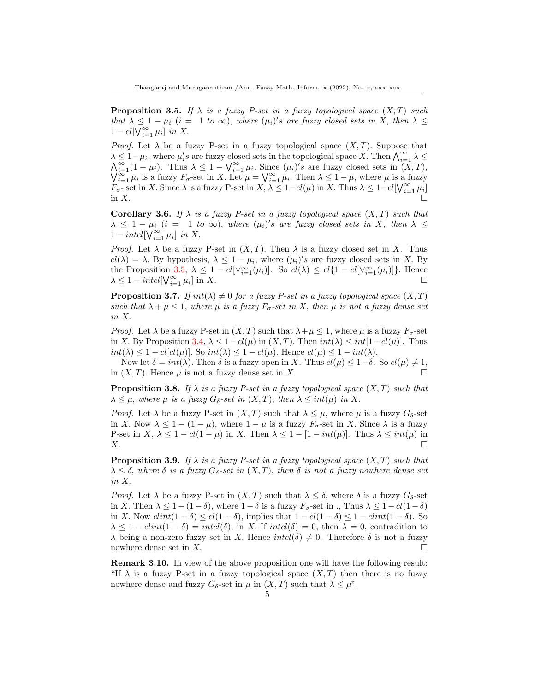<span id="page-4-0"></span>**Proposition 3.5.** If  $\lambda$  is a fuzzy P-set in a fuzzy topological space  $(X, T)$  such that  $\lambda \leq 1 - \mu_i$   $(i = 1 \text{ to } \infty)$ , where  $(\mu_i)'s$  are fuzzy closed sets in X, then  $\lambda \leq$  $1-cl[\overline{\bigvee_{i=1}^{\infty} \mu_i}]$  in X.

*Proof.* Let  $\lambda$  be a fuzzy P-set in a fuzzy topological space  $(X, T)$ . Suppose that  $\lambda \leq 1-\mu_i$ , where  $\mu_i$ 's are fuzzy closed sets in the topological space X. Then  $\bigwedge_{i=1}^{\infty} \lambda \leq$  $\bigwedge_{i=1}^{\infty} (1 - \mu_i)$ . Thus  $\lambda \leq 1 - \bigvee_{i=1}^{\infty} \mu_i$ . Since  $(\mu_i)'s$  are fuzzy closed sets in  $(X, T)$ ,  $\bigvee_{i=1}^{\infty} \mu_i$  is a fuzzy  $F_{\sigma}$ -set in X. Let  $\mu = \bigvee_{i=1}^{\infty} \mu_i$ . Then  $\lambda \leq 1 - \mu$ , where  $\mu$  is a fuzzy  $F_{\sigma}$ - set in X. Since  $\lambda$  is a fuzzy P-set in  $X, \lambda \leq 1-cl(\mu)$  in X. Thus  $\lambda \leq 1-cl[\bigvee_{i=1}^{\infty} \mu_i]$ in  $X$ .

**Corollary 3.6.** If  $\lambda$  is a fuzzy P-set in a fuzzy topological space  $(X, T)$  such that  $\lambda \leq 1 - \mu_i$  (i = 1 to  $\infty$ ), where  $(\mu_i)'s$  are fuzzy closed sets in X, then  $\lambda \leq$  $1-intcl[\bigvee_{i=1}^{\infty} \mu_i]$  in X.

*Proof.* Let  $\lambda$  be a fuzzy P-set in  $(X, T)$ . Then  $\lambda$  is a fuzzy closed set in X. Thus  $cl(\lambda) = \lambda$ . By hypothesis,  $\lambda \leq 1 - \mu_i$ , where  $(\mu_i)'s$  are fuzzy closed sets in X. By the Proposition [3.5,](#page-4-0)  $\lambda \leq 1 - cl[\vee_{i=1}^{\infty}(\mu_i)]$ . So  $cl(\lambda) \leq cl\{1 - cl[\vee_{i=1}^{\infty}(\mu_i)]\}$ . Hence  $\lambda \leq 1-intcl[\mathsf{V}_{i=1}^{\infty} \mu_i]$  in X.

**Proposition 3.7.** If  $int(\lambda) \neq 0$  for a fuzzy P-set in a fuzzy topological space  $(X, T)$ such that  $\lambda + \mu \leq 1$ , where  $\mu$  is a fuzzy  $F_{\sigma}$ -set in X, then  $\mu$  is not a fuzzy dense set in X.

*Proof.* Let  $\lambda$  be a fuzzy P-set in  $(X, T)$  such that  $\lambda + \mu \leq 1$ , where  $\mu$  is a fuzzy  $F_{\sigma}$ -set in X. By Proposition [3.4,](#page-3-0)  $\lambda \leq 1-cl(\mu)$  in  $(X, T)$ . Then  $int(\lambda) \leq int[1-cl(\mu)]$ . Thus  $int(\lambda) < 1 - cl[cl(\mu)]$ . So  $int(\lambda) < 1 - cl(\mu)$ . Hence  $cl(\mu) < 1 - int(\lambda)$ .

Now let  $\delta = int(\lambda)$ . Then  $\delta$  is a fuzzy open in X. Thus  $cl(\mu) \leq 1-\delta$ . So  $cl(\mu) \neq 1$ , in  $(X, T)$ . Hence  $\mu$  is not a fuzzy dense set in X.

<span id="page-4-1"></span>**Proposition 3.8.** If  $\lambda$  is a fuzzy P-set in a fuzzy topological space  $(X, T)$  such that  $\lambda \leq \mu$ , where  $\mu$  is a fuzzy  $G_{\delta}$ -set in  $(X,T)$ , then  $\lambda \leq int(\mu)$  in X.

*Proof.* Let  $\lambda$  be a fuzzy P-set in  $(X,T)$  such that  $\lambda \leq \mu$ , where  $\mu$  is a fuzzy  $G_{\delta}$ -set in X. Now  $\lambda \leq 1 - (1 - \mu)$ , where  $1 - \mu$  is a fuzzy  $F_{\sigma}$ -set in X. Since  $\lambda$  is a fuzzy P-set in  $X, \lambda \leq 1 - cl(1 - \mu)$  in X. Then  $\lambda \leq 1 - [1 - int(\mu)]$ . Thus  $\lambda \leq int(\mu)$  in  $X.$ 

<span id="page-4-2"></span>**Proposition 3.9.** If  $\lambda$  is a fuzzy P-set in a fuzzy topological space  $(X, T)$  such that  $\lambda \leq \delta$ , where  $\delta$  is a fuzzy  $G_{\delta}$ -set in  $(X,T)$ , then  $\delta$  is not a fuzzy nowhere dense set in X.

*Proof.* Let  $\lambda$  be a fuzzy P-set in  $(X,T)$  such that  $\lambda \leq \delta$ , where  $\delta$  is a fuzzy  $G_{\delta}$ -set in X. Then  $\lambda \leq 1 - (1 - \delta)$ , where  $1 - \delta$  is a fuzzy  $F_{\sigma}$ -set in ., Thus  $\lambda \leq 1 - cl(1 - \delta)$ in X. Now  $clint(1 - \delta) \leq cl(1 - \delta)$ , implies that  $1 - cl(1 - \delta) \leq 1 - clint(1 - \delta)$ . So  $\lambda \leq 1-clint(1-\delta) = intcl(\delta)$ , in X. If  $intcl(\delta) = 0$ , then  $\lambda = 0$ , contradition to  $\lambda$  being a non-zero fuzzy set in X. Hence  $intcl(\delta) \neq 0$ . Therefore  $\delta$  is not a fuzzy nowhere dense set in  $X$ .

Remark 3.10. In view of the above proposition one will have the following result: "If  $\lambda$  is a fuzzy P-set in a fuzzy topological space  $(X, T)$  then there is no fuzzy nowhere dense and fuzzy  $G_{\delta}$ -set in  $\mu$  in  $(X,T)$  such that  $\lambda \leq \mu$ ".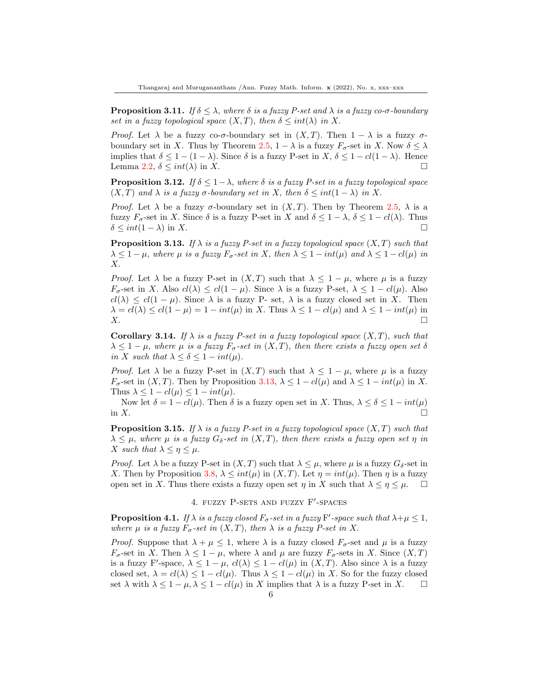**Proposition 3.11.** If  $\delta \leq \lambda$ , where  $\delta$  is a fuzzy P-set and  $\lambda$  is a fuzzy co- $\sigma$ -boundary set in a fuzzy topological space  $(X, T)$ , then  $\delta \leq int(\lambda)$  in X.

*Proof.* Let  $\lambda$  be a fuzzy co- $\sigma$ -boundary set in  $(X,T)$ . Then  $1-\lambda$  is a fuzzy  $\sigma$ -boundary set in X. Thus by Theorem [2.5,](#page-2-0)  $1 - \lambda$  is a fuzzy  $F_{\sigma}$ -set in X. Now  $\delta \leq \lambda$ implies that  $\delta \leq 1 - (1 - \lambda)$ . Since  $\delta$  is a fuzzy P-set in X,  $\delta \leq 1 - cl(1 - \lambda)$ . Hence Lemma [2.2,](#page-1-0)  $\delta \leq int(\lambda)$  in X.

**Proposition 3.12.** If  $\delta \leq 1 - \lambda$ , where  $\delta$  is a fuzzy P-set in a fuzzy topological space  $(X, T)$  and  $\lambda$  is a fuzzy  $\sigma$ -boundary set in X, then  $\delta \leq int(1 - \lambda)$  in X.

*Proof.* Let  $\lambda$  be a fuzzy  $\sigma$ -boundary set in  $(X,T)$ . Then by Theorem [2.5,](#page-2-0)  $\lambda$  is a fuzzy  $F_{\sigma}$ -set in X. Since  $\delta$  is a fuzzy P-set in X and  $\delta \leq 1 - \lambda$ ,  $\delta \leq 1 - cl(\lambda)$ . Thus  $\delta \leq int(1 - \lambda)$  in X.

<span id="page-5-0"></span>**Proposition 3.13.** If  $\lambda$  is a fuzzy P-set in a fuzzy topological space  $(X, T)$  such that  $\lambda \leq 1 - \mu$ , where  $\mu$  is a fuzzy  $F_{\sigma}$ -set in X, then  $\lambda \leq 1 - int(\mu)$  and  $\lambda \leq 1 - cl(\mu)$  in X.

*Proof.* Let  $\lambda$  be a fuzzy P-set in  $(X, T)$  such that  $\lambda \leq 1 - \mu$ , where  $\mu$  is a fuzzy  $F_{\sigma}$ -set in X. Also  $cl(\lambda) \leq cl(1-\mu)$ . Since  $\lambda$  is a fuzzy P-set,  $\lambda \leq 1-cl(\mu)$ . Also  $cl(\lambda) \leq cl(1-\mu)$ . Since  $\lambda$  is a fuzzy P- set,  $\lambda$  is a fuzzy closed set in X. Then  $\lambda = cl(\lambda) \leq cl(1 - \mu) = 1 - int(\mu)$  in X. Thus  $\lambda \leq 1 - cl(\mu)$  and  $\lambda \leq 1 - int(\mu)$  in  $X.$ 

<span id="page-5-2"></span>**Corollary 3.14.** If  $\lambda$  is a fuzzy P-set in a fuzzy topological space  $(X, T)$ , such that  $\lambda \leq 1 - \mu$ , where  $\mu$  is a fuzzy  $F_{\sigma}$ -set in  $(X,T)$ , then there exists a fuzzy open set  $\delta$ in X such that  $\lambda \leq \delta \leq 1-int(\mu)$ .

*Proof.* Let  $\lambda$  be a fuzzy P-set in  $(X, T)$  such that  $\lambda \leq 1 - \mu$ , where  $\mu$  is a fuzzy  $F_{\sigma}$ -set in  $(X, T)$ . Then by Proposition [3.13,](#page-5-0)  $\lambda \leq 1 - cl(\mu)$  and  $\lambda \leq 1 - int(\mu)$  in X. Thus  $\lambda \leq 1 - cl(\mu) \leq 1 - int(\mu)$ .

Now let  $\delta = 1 - cl(\mu)$ . Then  $\delta$  is a fuzzy open set in X. Thus,  $\lambda \leq \delta \leq 1 - int(\mu)$ in  $X$ .

**Proposition 3.15.** If  $\lambda$  is a fuzzy P-set in a fuzzy topological space  $(X, T)$  such that  $\lambda \leq \mu$ , where  $\mu$  is a fuzzy  $G_{\delta}$ -set in  $(X,T)$ , then there exists a fuzzy open set  $\eta$  in X such that  $\lambda \leq \eta \leq \mu$ .

*Proof.* Let  $\lambda$  be a fuzzy P-set in  $(X, T)$  such that  $\lambda \leq \mu$ , where  $\mu$  is a fuzzy  $G_{\delta}$ -set in X. Then by Proposition [3.8,](#page-4-1)  $\lambda \leq int(\mu)$  in  $(X, T)$ . Let  $\eta = int(\mu)$ . Then  $\eta$  is a fuzzy open set in X. Thus there exists a fuzzy open set  $\eta$  in X such that  $\lambda \leq \eta \leq \mu$ .  $\square$ 

### 4. FUZZY P-SETS AND FUZZY F'-SPACES

<span id="page-5-1"></span>**Proposition 4.1.** If  $\lambda$  is a fuzzy closed  $F_{\sigma}$ -set in a fuzzy F'-space such that  $\lambda + \mu \leq 1$ , where  $\mu$  is a fuzzy  $F_{\sigma}$ -set in  $(X,T)$ , then  $\lambda$  is a fuzzy P-set in X.

*Proof.* Suppose that  $\lambda + \mu \leq 1$ , where  $\lambda$  is a fuzzy closed  $F_{\sigma}$ -set and  $\mu$  is a fuzzy  $F_{\sigma}$ -set in X. Then  $\lambda \leq 1 - \mu$ , where  $\lambda$  and  $\mu$  are fuzzy  $F_{\sigma}$ -sets in X. Since  $(X,T)$ is a fuzzy F'-space,  $\lambda \leq 1 - \mu$ ,  $cl(\lambda) \leq 1 - cl(\mu)$  in  $(X, T)$ . Also since  $\lambda$  is a fuzzy closed set,  $\lambda = cl(\lambda) \leq 1-cl(\mu)$ . Thus  $\lambda \leq 1-cl(\mu)$  in X. So for the fuzzy closed set  $\lambda$  with  $\lambda \leq 1 - \mu, \lambda \leq 1 - cl(\mu)$  in X implies that  $\lambda$  is a fuzzy P-set in X.  $\square$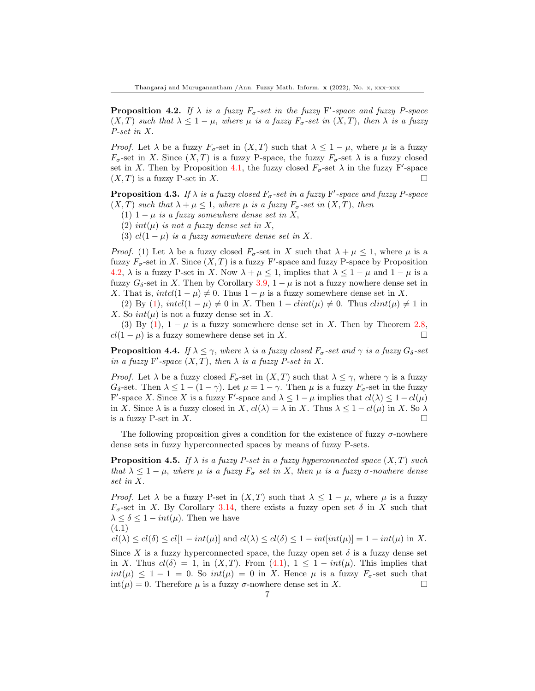<span id="page-6-0"></span>**Proposition 4.2.** If  $\lambda$  is a fuzzy  $F_{\sigma}$ -set in the fuzzy F'-space and fuzzy P-space  $(X, T)$  such that  $\lambda \leq 1 - \mu$ , where  $\mu$  is a fuzzy  $F_{\sigma}$ -set in  $(X, T)$ , then  $\lambda$  is a fuzzy P-set in X.

*Proof.* Let  $\lambda$  be a fuzzy  $F_{\sigma}$ -set in  $(X, T)$  such that  $\lambda \leq 1 - \mu$ , where  $\mu$  is a fuzzy  $F_{\sigma}$ -set in X. Since  $(X,T)$  is a fuzzy P-space, the fuzzy  $F_{\sigma}$ -set  $\lambda$  is a fuzzy closed set in X. Then by Proposition [4.1,](#page-5-1) the fuzzy closed  $F_{\sigma}$ -set  $\lambda$  in the fuzzy F'-space  $(X, T)$  is a fuzzy P-set in X.

**Proposition 4.3.** If  $\lambda$  is a fuzzy closed  $F_{\sigma}$ -set in a fuzzy F'-space and fuzzy P-space  $(X, T)$  such that  $\lambda + \mu \leq 1$ , where  $\mu$  is a fuzzy  $F_{\sigma}$ -set in  $(X, T)$ , then

- (1)  $1 \mu$  is a fuzzy somewhere dense set in X,
- (2) int( $\mu$ ) is not a fuzzy dense set in X,
- (3)  $cl(1 \mu)$  is a fuzzy somewhere dense set in X.

*Proof.* (1) Let  $\lambda$  be a fuzzy closed  $F_{\sigma}$ -set in X such that  $\lambda + \mu \leq 1$ , where  $\mu$  is a fuzzy  $F_{\sigma}$ -set in X. Since  $(X, T)$  is a fuzzy F'-space and fuzzy P-space by Proposition [4.2,](#page-6-0)  $\lambda$  is a fuzzy P-set in X. Now  $\lambda + \mu \leq 1$ , implies that  $\lambda \leq 1 - \mu$  and  $1 - \mu$  is a fuzzy  $G_{\delta}$ -set in X. Then by Corollary [3.9,](#page-4-2)  $1 - \mu$  is not a fuzzy nowhere dense set in X. That is,  $intcl(1 - \mu) \neq 0$ . Thus  $1 - \mu$  is a fuzzy somewhere dense set in X.

(2) By (1),  $intcl(1 - \mu) \neq 0$  in X. Then  $1 - clint(\mu) \neq 0$ . Thus  $clint(\mu) \neq 1$  in X. So  $int(\mu)$  is not a fuzzy dense set in X.

(3) By (1),  $1 - \mu$  is a fuzzy somewhere dense set in X. Then by Theorem [2.8,](#page-2-1)  $cl(1 - \mu)$  is a fuzzy somewhere dense set in X.

**Proposition 4.4.** If  $\lambda \leq \gamma$ , where  $\lambda$  is a fuzzy closed  $F_{\sigma}$ -set and  $\gamma$  is a fuzzy  $G_{\delta}$ -set in a fuzzy F'-space  $(X, T)$ , then  $\lambda$  is a fuzzy P-set in X.

*Proof.* Let  $\lambda$  be a fuzzy closed  $F_{\sigma}$ -set in  $(X,T)$  such that  $\lambda \leq \gamma$ , where  $\gamma$  is a fuzzy  $G_{\delta}$ -set. Then  $\lambda \leq 1 - (1 - \gamma)$ . Let  $\mu = 1 - \gamma$ . Then  $\mu$  is a fuzzy  $F_{\sigma}$ -set in the fuzzy F'-space X. Since X is a fuzzy F'-space and  $\lambda \leq 1 - \mu$  implies that  $cl(\lambda) \leq 1 - cl(\mu)$ in X. Since  $\lambda$  is a fuzzy closed in X,  $cl(\lambda) = \lambda$  in X. Thus  $\lambda \leq 1 - cl(\mu)$  in X. So  $\lambda$ is a fuzzy P-set in X.

The following proposition gives a condition for the existence of fuzzy  $\sigma$ -nowhere dense sets in fuzzy hyperconnected spaces by means of fuzzy P-sets.

**Proposition 4.5.** If  $\lambda$  is a fuzzy P-set in a fuzzy hyperconnected space  $(X, T)$  such that  $\lambda \leq 1 - \mu$ , where  $\mu$  is a fuzzy  $F_{\sigma}$  set in X, then  $\mu$  is a fuzzy  $\sigma$ -nowhere dense set in X.

*Proof.* Let  $\lambda$  be a fuzzy P-set in  $(X, T)$  such that  $\lambda \leq 1 - \mu$ , where  $\mu$  is a fuzzy  $F_{\sigma}$ -set in X. By Corollary [3.14,](#page-5-2) there exists a fuzzy open set  $\delta$  in X such that  $\lambda \leq \delta \leq 1-int(\mu)$ . Then we have

$$
(4.1)
$$

 $cl(\lambda) \leq cl(\delta) \leq cl[1-int(\mu)]$  and  $cl(\lambda) \leq cl(\delta) \leq 1-int(int(\mu))] = 1-int(\mu)$  in X.

Since X is a fuzzy hyperconnected space, the fuzzy open set  $\delta$  is a fuzzy dense set in X. Thus  $cl(\delta) = 1$ , in  $(X, T)$ . From  $(4.1)$ ,  $1 \leq 1 - int(\mu)$ . This implies that  $int(\mu) \leq 1-1=0$ . So  $int(\mu) = 0$  in X. Hence  $\mu$  is a fuzzy  $F_{\sigma}$ -set such that  $int(\mu) = 0$ . Therefore  $\mu$  is a fuzzy  $\sigma$ -nowhere dense set in X.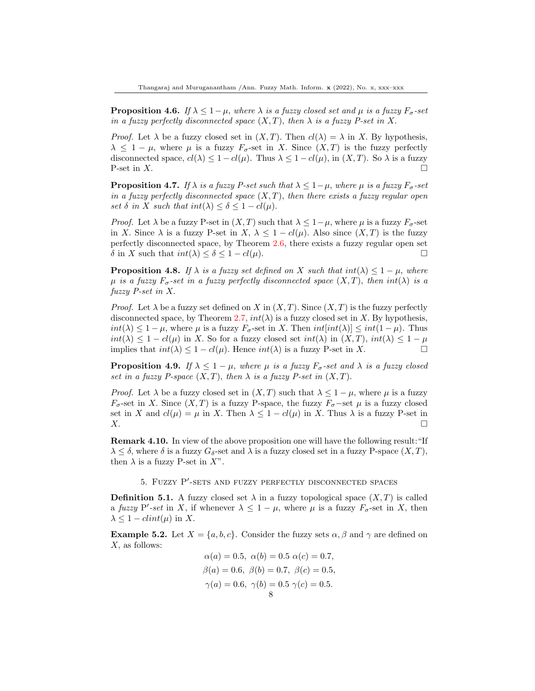**Proposition 4.6.** If  $\lambda \leq 1 - \mu$ , where  $\lambda$  is a fuzzy closed set and  $\mu$  is a fuzzy  $F_{\sigma}$ -set in a fuzzy perfectly disconnected space  $(X, T)$ , then  $\lambda$  is a fuzzy P-set in X.

*Proof.* Let  $\lambda$  be a fuzzy closed set in  $(X, T)$ . Then  $cl(\lambda) = \lambda$  in X. By hypothesis,  $\lambda \leq 1 - \mu$ , where  $\mu$  is a fuzzy  $F_{\sigma}$ -set in X. Since  $(X,T)$  is the fuzzy perfectly disconnected space,  $cl(\lambda) \leq 1 - cl(\mu)$ . Thus  $\lambda \leq 1 - cl(\mu)$ , in  $(X, T)$ . So  $\lambda$  is a fuzzy P-set in  $X$ .

**Proposition 4.7.** If  $\lambda$  is a fuzzy P-set such that  $\lambda \leq 1-\mu$ , where  $\mu$  is a fuzzy  $F_{\sigma}$ -set in a fuzzy perfectly disconnected space  $(X, T)$ , then there exists a fuzzy regular open set  $\delta$  in X such that  $int(\lambda) \leq \delta \leq 1 - cl(\mu)$ .

*Proof.* Let  $\lambda$  be a fuzzy P-set in  $(X, T)$  such that  $\lambda \leq 1-\mu$ , where  $\mu$  is a fuzzy  $F_{\sigma}$ -set in X. Since  $\lambda$  is a fuzzy P-set in X,  $\lambda \leq 1 - cl(\mu)$ . Also since  $(X, T)$  is the fuzzy perfectly disconnected space, by Theorem [2.6,](#page-2-2) there exists a fuzzy regular open set  $\delta$  in X such that  $int(\lambda) \leq \delta \leq 1 - cl(\mu)$ .

**Proposition 4.8.** If  $\lambda$  is a fuzzy set defined on X such that  $int(\lambda) \leq 1 - \mu$ , where  $\mu$  is a fuzzy  $F_{\sigma}$ -set in a fuzzy perfectly disconnected space  $(X, T)$ , then  $int(\lambda)$  is a fuzzy P-set in X.

*Proof.* Let  $\lambda$  be a fuzzy set defined on X in  $(X, T)$ . Since  $(X, T)$  is the fuzzy perfectly disconnected space, by Theorem [2.7,](#page-2-3)  $int(\lambda)$  is a fuzzy closed set in X. By hypothesis,  $int(\lambda) \leq 1 - \mu$ , where  $\mu$  is a fuzzy  $F_{\sigma}$ -set in X. Then  $int(int(\lambda)) \leq int(1 - \mu)$ . Thus  $int(\lambda) \leq 1 - cl(\mu)$  in X. So for a fuzzy closed set  $int(\lambda)$  in  $(X,T)$ ,  $int(\lambda) \leq 1 - \mu$ implies that  $int(\lambda) \leq 1 - cl(\mu)$ . Hence  $int(\lambda)$  is a fuzzy P-set in X.

**Proposition 4.9.** If  $\lambda \leq 1 - \mu$ , where  $\mu$  is a fuzzy  $F_{\sigma}$ -set and  $\lambda$  is a fuzzy closed set in a fuzzy P-space  $(X, T)$ , then  $\lambda$  is a fuzzy P-set in  $(X, T)$ .

*Proof.* Let  $\lambda$  be a fuzzy closed set in  $(X, T)$  such that  $\lambda \leq 1 - \mu$ , where  $\mu$  is a fuzzy  $F_{\sigma}$ -set in X. Since  $(X, T)$  is a fuzzy P-space, the fuzzy  $F_{\sigma}$ -set  $\mu$  is a fuzzy closed set in X and  $cl(\mu) = \mu$  in X. Then  $\lambda \leq 1 - cl(\mu)$  in X. Thus  $\lambda$  is a fuzzy P-set in  $X.$ 

Remark 4.10. In view of the above proposition one will have the following result:"If  $\lambda \leq \delta$ , where  $\delta$  is a fuzzy  $G_{\delta}$ -set and  $\lambda$  is a fuzzy closed set in a fuzzy P-space  $(X,T)$ , then  $\lambda$  is a fuzzy P-set in X".

5. FUZZY P'-SETS AND FUZZY PERFECTLY DISCONNECTED SPACES

**Definition 5.1.** A fuzzy closed set  $\lambda$  in a fuzzy topological space  $(X, T)$  is called a fuzzy P'-set in X, if whenever  $\lambda \leq 1 - \mu$ , where  $\mu$  is a fuzzy  $F_{\sigma}$ -set in X, then  $\lambda \leq 1 - \dim(\mu)$  in X.

**Example 5.2.** Let  $X = \{a, b, c\}$ . Consider the fuzzy sets  $\alpha, \beta$  and  $\gamma$  are defined on X, as follows:

$$
\alpha(a) = 0.5, \ \alpha(b) = 0.5 \ \alpha(c) = 0.7, \n\beta(a) = 0.6, \ \beta(b) = 0.7, \ \beta(c) = 0.5, \n\gamma(a) = 0.6, \ \gamma(b) = 0.5 \ \gamma(c) = 0.5. \n8
$$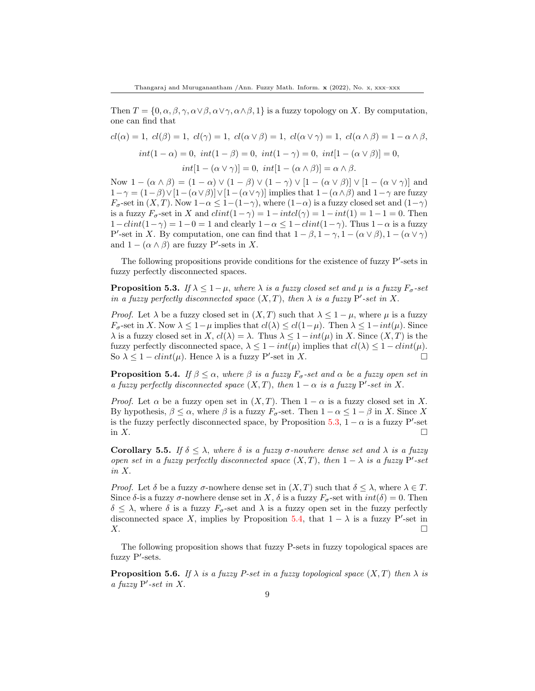Then  $T = \{0, \alpha, \beta, \gamma, \alpha \vee \beta, \alpha \vee \gamma, \alpha \wedge \beta, \beta\}$  is a fuzzy topology on X. By computation, one can find that

$$
cl(\alpha) = 1, \ cl(\beta) = 1, \ cl(\gamma) = 1, \ cl(\alpha \vee \beta) = 1, \ cl(\alpha \vee \gamma) = 1, \ cl(\alpha \wedge \beta) = 1 - \alpha \wedge \beta,
$$

$$
int(1 - \alpha) = 0, \ int(1 - \beta) = 0, \ int(1 - \gamma) = 0, \ int[1 - (\alpha \vee \beta)] = 0,
$$

$$
int[1 - (\alpha \vee \gamma)] = 0, \ int[1 - (\alpha \wedge \beta)] = \alpha \wedge \beta.
$$

Now  $1 - (\alpha \wedge \beta) = (1 - \alpha) \vee (1 - \beta) \vee (1 - \gamma) \vee [1 - (\alpha \vee \beta)] \vee [1 - (\alpha \vee \gamma)]$  and  $1-\gamma = (1-\beta)\sqrt{1-(\alpha\sqrt{\beta})}\sqrt{1-(\alpha\sqrt{\gamma})}$  implies that  $1-(\alpha\sqrt{\beta})$  and  $1-\gamma$  are fuzzy  $F_{\sigma}$ -set in  $(X, T)$ . Now  $1-\alpha \leq 1-(1-\gamma)$ , where  $(1-\alpha)$  is a fuzzy closed set and  $(1-\gamma)$ is a fuzzy  $F_{\sigma}$ -set in X and  $clint(1-\gamma) = 1-intl(\gamma) = 1-int(1) = 1-1=0$ . Then  $1-clint(1-\gamma) = 1-0 = 1$  and clearly  $1-\alpha \leq 1-clint(1-\gamma)$ . Thus  $1-\alpha$  is a fuzzy P'-set in X. By computation, one can find that  $1 - \beta$ ,  $1 - \gamma$ ,  $1 - (\alpha \vee \beta)$ ,  $1 - (\alpha \vee \gamma)$ and  $1 - (\alpha \wedge \beta)$  are fuzzy P'-sets in X.

The following propositions provide conditions for the existence of fuzzy  $P'$ -sets in fuzzy perfectly disconnected spaces.

<span id="page-8-0"></span>**Proposition 5.3.** If  $\lambda \leq 1 - \mu$ , where  $\lambda$  is a fuzzy closed set and  $\mu$  is a fuzzy  $F_{\sigma}$ -set in a fuzzy perfectly disconnected space  $(X, T)$ , then  $\lambda$  is a fuzzy P'-set in X.

*Proof.* Let  $\lambda$  be a fuzzy closed set in  $(X, T)$  such that  $\lambda \leq 1 - \mu$ , where  $\mu$  is a fuzzy  $F_{\sigma}$ -set in X. Now  $\lambda \leq 1-\mu$  implies that  $cl(\lambda) \leq cl(1-\mu)$ . Then  $\lambda \leq 1-int(\mu)$ . Since  $\lambda$  is a fuzzy closed set in X,  $cl(\lambda) = \lambda$ . Thus  $\lambda \leq 1-int(\mu)$  in X. Since  $(X, T)$  is the fuzzy perfectly disconnected space,  $\lambda \leq 1 - int(\mu)$  implies that  $cl(\lambda) \leq 1 - clint(\mu)$ . So  $\lambda \leq 1 - \dim(\mu)$ . Hence  $\lambda$  is a fuzzy P'-set in X.

<span id="page-8-1"></span>**Proposition 5.4.** If  $\beta \leq \alpha$ , where  $\beta$  is a fuzzy  $F_{\sigma}$ -set and  $\alpha$  be a fuzzy open set in a fuzzy perfectly disconnected space  $(X, T)$ , then  $1 - \alpha$  is a fuzzy P'-set in X.

*Proof.* Let  $\alpha$  be a fuzzy open set in  $(X, T)$ . Then  $1 - \alpha$  is a fuzzy closed set in X. By hypothesis,  $\beta \leq \alpha$ , where  $\beta$  is a fuzzy  $F_{\sigma}$ -set. Then  $1 - \alpha \leq 1 - \beta$  in X. Since X is the fuzzy perfectly disconnected space, by Proposition [5.3,](#page-8-0)  $1 - \alpha$  is a fuzzy P'-set in  $X$ .

Corollary 5.5. If  $\delta \leq \lambda$ , where  $\delta$  is a fuzzy  $\sigma$ -nowhere dense set and  $\lambda$  is a fuzzy open set in a fuzzy perfectly disconnected space  $(X, T)$ , then  $1 - \lambda$  is a fuzzy P'-set in X.

*Proof.* Let  $\delta$  be a fuzzy  $\sigma$ -nowhere dense set in  $(X, T)$  such that  $\delta \leq \lambda$ , where  $\lambda \in T$ . Since  $\delta$ -is a fuzzy  $\sigma$ -nowhere dense set in X,  $\delta$  is a fuzzy  $F_{\sigma}$ -set with  $int(\delta) = 0$ . Then  $\delta \leq \lambda$ , where  $\delta$  is a fuzzy  $F_{\sigma}$ -set and  $\lambda$  is a fuzzy open set in the fuzzy perfectly disconnected space X, implies by Proposition [5.4,](#page-8-1) that  $1 - \lambda$  is a fuzzy P'-set in  $X.$ 

The following proposition shows that fuzzy P-sets in fuzzy topological spaces are fuzzy  $P'$ -sets.

**Proposition 5.6.** If  $\lambda$  is a fuzzy P-set in a fuzzy topological space  $(X, T)$  then  $\lambda$  is a fuzzy  $P'$ -set in X.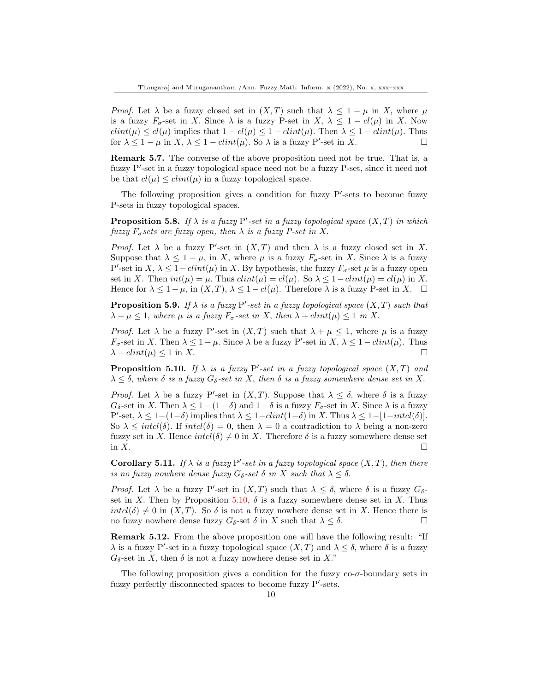*Proof.* Let  $\lambda$  be a fuzzy closed set in  $(X, T)$  such that  $\lambda \leq 1 - \mu$  in X, where  $\mu$ is a fuzzy  $F_{\sigma}$ -set in X. Since  $\lambda$  is a fuzzy P-set in X,  $\lambda \leq 1 - cl(\mu)$  in X. Now  $clint(\mu) \leq cl(\mu)$  implies that  $1-cl(\mu) \leq 1-clint(\mu)$ . Then  $\lambda \leq 1-clint(\mu)$ . Thus for  $\lambda \leq 1 - \mu$  in  $X, \lambda \leq 1 - \dim(\mu)$ . So  $\lambda$  is a fuzzy P'-set in X.

Remark 5.7. The converse of the above proposition need not be true. That is, a fuzzy P'-set in a fuzzy topological space need not be a fuzzy P-set, since it need not be that  $cl(\mu) \leq clint(\mu)$  in a fuzzy topological space.

The following proposition gives a condition for fuzzy  $P'$ -sets to become fuzzy P-sets in fuzzy topological spaces.

**Proposition 5.8.** If  $\lambda$  is a fuzzy P'-set in a fuzzy topological space  $(X, T)$  in which fuzzy  $F_{\sigma}$  sets are fuzzy open, then  $\lambda$  is a fuzzy P-set in X.

Proof. Let  $\lambda$  be a fuzzy P'-set in  $(X, T)$  and then  $\lambda$  is a fuzzy closed set in X. Suppose that  $\lambda \leq 1 - \mu$ , in X, where  $\mu$  is a fuzzy  $F_{\sigma}$ -set in X. Since  $\lambda$  is a fuzzy P'-set in X,  $\lambda \leq 1-clint(\mu)$  in X. By hypothesis, the fuzzy  $F_{\sigma}$ -set  $\mu$  is a fuzzy open set in X. Then  $int(\mu) = \mu$ . Thus  $cl(\mu) = cl(\mu)$ . So  $\lambda \leq 1-clint(\mu) = cl(\mu)$  in X. Hence for  $\lambda \leq 1 - \mu$ , in  $(X, T)$ ,  $\lambda \leq 1 - cl(\mu)$ . Therefore  $\lambda$  is a fuzzy P-set in X.  $\Box$ 

**Proposition 5.9.** If  $\lambda$  is a fuzzy P'-set in a fuzzy topological space  $(X, T)$  such that  $\lambda + \mu \leq 1$ , where  $\mu$  is a fuzzy  $F_{\sigma}$ -set in X, then  $\lambda + \text{clint}(\mu) \leq 1$  in X.

*Proof.* Let  $\lambda$  be a fuzzy P'-set in  $(X, T)$  such that  $\lambda + \mu \leq 1$ , where  $\mu$  is a fuzzy  $F_{\sigma}$ -set in X. Then  $\lambda \leq 1 - \mu$ . Since  $\lambda$  be a fuzzy P'-set in X,  $\lambda \leq 1 - \dim(\mu)$ . Thus  $\lambda + \text{clint}(\mu) \leq 1$  in X.

<span id="page-9-0"></span>**Proposition 5.10.** If  $\lambda$  is a fuzzy P'-set in a fuzzy topological space  $(X, T)$  and  $\lambda \leq \delta$ , where  $\delta$  is a fuzzy  $G_{\delta}$ -set in X, then  $\delta$  is a fuzzy somewhere dense set in X.

*Proof.* Let  $\lambda$  be a fuzzy P'-set in  $(X, T)$ . Suppose that  $\lambda \leq \delta$ , where  $\delta$  is a fuzzy  $G_{\delta}$ -set in X. Then  $\lambda \leq 1-(1-\delta)$  and  $1-\delta$  is a fuzzy  $F_{\sigma}$ -set in X. Since  $\lambda$  is a fuzzy P'-set,  $\lambda \leq 1-(1-\delta)$  implies that  $\lambda \leq 1-clint(1-\delta)$  in X. Thus  $\lambda \leq 1-[1-intcl(\delta)].$ So  $\lambda \leq intcl(\delta)$ . If  $intcl(\delta) = 0$ , then  $\lambda = 0$  a contradiction to  $\lambda$  being a non-zero fuzzy set in X. Hence  $intcl(\delta) \neq 0$  in X. Therefore  $\delta$  is a fuzzy somewhere dense set in  $X$ .

Corollary 5.11. If  $\lambda$  is a fuzzy P'-set in a fuzzy topological space  $(X, T)$ , then there is no fuzzy nowhere dense fuzzy  $G_{\delta}$ -set  $\delta$  in X such that  $\lambda \leq \delta$ .

Proof. Let  $\lambda$  be a fuzzy P'-set in  $(X, T)$  such that  $\lambda \leq \delta$ , where  $\delta$  is a fuzzy  $G_{\delta}$ -set in X. Then by Proposition [5.10,](#page-9-0)  $\delta$  is a fuzzy somewhere dense set in X. Thus  $intcl(\delta) \neq 0$  in  $(X, T)$ . So  $\delta$  is not a fuzzy nowhere dense set in X. Hence there is no fuzzy nowhere dense fuzzy  $G_{\delta}$ -set  $\delta$  in X such that  $\lambda \leq \delta$ .

Remark 5.12. From the above proposition one will have the following result: "If  $\lambda$  is a fuzzy P'-set in a fuzzy topological space  $(X, T)$  and  $\lambda \leq \delta$ , where  $\delta$  is a fuzzy  $G_{\delta}$ -set in X, then  $\delta$  is not a fuzzy nowhere dense set in X."

The following proposition gives a condition for the fuzzy co- $\sigma$ -boundary sets in fuzzy perfectly disconnected spaces to become fuzzy  $P'$ -sets.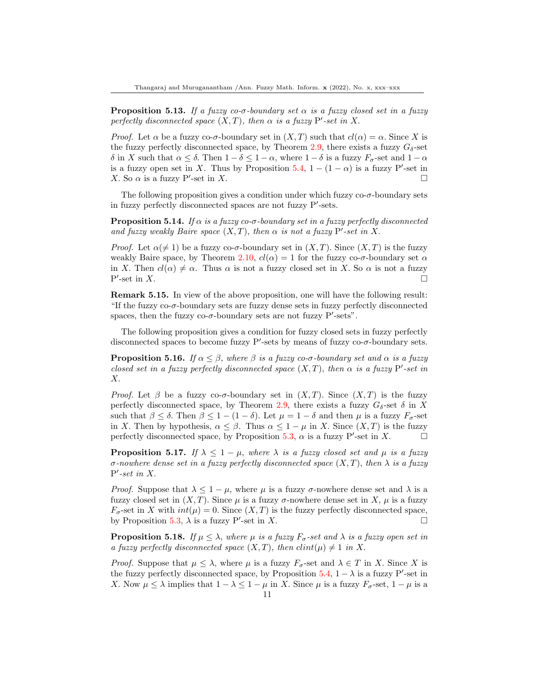**Proposition 5.13.** If a fuzzy co- $\sigma$ -boundary set  $\alpha$  is a fuzzy closed set in a fuzzy perfectly disconnected space  $(X, T)$ , then  $\alpha$  is a fuzzy P'-set in X.

*Proof.* Let  $\alpha$  be a fuzzy co- $\sigma$ -boundary set in  $(X, T)$  such that  $cl(\alpha) = \alpha$ . Since X is the fuzzy perfectly disconnected space, by Theorem [2.9,](#page-2-4) there exists a fuzzy  $G_{\delta}$ -set δ in X such that  $\alpha \leq \delta$ . Then  $1 - \delta \leq 1 - \alpha$ , where  $1 - \delta$  is a fuzzy  $F_{\sigma}$ -set and  $1 - \alpha$ is a fuzzy open set in X. Thus by Proposition [5.4,](#page-8-1)  $1 - (1 - \alpha)$  is a fuzzy P'-set in X. So  $\alpha$  is a fuzzy P'-set in X.

The following proposition gives a condition under which fuzzy  $\cos \sigma$ -boundary sets in fuzzy perfectly disconnected spaces are not fuzzy  $P'$ -sets.

**Proposition 5.14.** If  $\alpha$  is a fuzzy co- $\sigma$ -boundary set in a fuzzy perfectly disconnected and fuzzy weakly Baire space  $(X, T)$ , then  $\alpha$  is not a fuzzy P'-set in X.

*Proof.* Let  $\alpha(\neq 1)$  be a fuzzy co- $\sigma$ -boundary set in  $(X,T)$ . Since  $(X,T)$  is the fuzzy weakly Baire space, by Theorem [2.10,](#page-2-5)  $cl(\alpha) = 1$  for the fuzzy co- $\sigma$ -boundary set  $\alpha$ in X. Then  $cl(\alpha) \neq \alpha$ . Thus  $\alpha$  is not a fuzzy closed set in X. So  $\alpha$  is not a fuzzy  $\rm P'$  $\Box$  -set in X.

Remark 5.15. In view of the above proposition, one will have the following result: "If the fuzzy  $co- $\sigma$ -boundary sets are fuzzy dense sets in fuzzy perfectly disconnected$ spaces, then the fuzzy  $co- $\sigma$ -boundary sets are not fuzzy P'-sets".$ 

The following proposition gives a condition for fuzzy closed sets in fuzzy perfectly disconnected spaces to become fuzzy  $P'$ -sets by means of fuzzy co- $\sigma$ -boundary sets.

**Proposition 5.16.** If  $\alpha \leq \beta$ , where  $\beta$  is a fuzzy co- $\sigma$ -boundary set and  $\alpha$  is a fuzzy closed set in a fuzzy perfectly disconnected space  $(X, T)$ , then  $\alpha$  is a fuzzy P'-set in X.

*Proof.* Let  $\beta$  be a fuzzy co- $\sigma$ -boundary set in  $(X,T)$ . Since  $(X,T)$  is the fuzzy perfectly disconnected space, by Theorem [2.9,](#page-2-4) there exists a fuzzy  $G_{\delta}$ -set  $\delta$  in X such that  $\beta \leq \delta$ . Then  $\beta \leq 1 - (1 - \delta)$ . Let  $\mu = 1 - \delta$  and then  $\mu$  is a fuzzy  $F_{\sigma}$ -set in X. Then by hypothesis,  $\alpha \leq \beta$ . Thus  $\alpha \leq 1 - \mu$  in X. Since  $(X, T)$  is the fuzzy perfectly disconnected space, by Proposition [5.3,](#page-8-0)  $\alpha$  is a fuzzy P'-set in X.

**Proposition 5.17.** If  $\lambda \leq 1 - \mu$ , where  $\lambda$  is a fuzzy closed set and  $\mu$  is a fuzzy σ-nowhere dense set in a fuzzy perfectly disconnected space (X, T), then λ is a fuzzy  $P'$ -set in X.

*Proof.* Suppose that  $\lambda \leq 1 - \mu$ , where  $\mu$  is a fuzzy  $\sigma$ -nowhere dense set and  $\lambda$  is a fuzzy closed set in  $(X, T)$ . Since  $\mu$  is a fuzzy  $\sigma$ -nowhere dense set in X,  $\mu$  is a fuzzy  $F_{\sigma}$ -set in X with  $int(\mu) = 0$ . Since  $(X, T)$  is the fuzzy perfectly disconnected space, by Proposition [5.3,](#page-8-0)  $\lambda$  is a fuzzy P'-set in X.

**Proposition 5.18.** If  $\mu \leq \lambda$ , where  $\mu$  is a fuzzy  $F_{\sigma}$ -set and  $\lambda$  is a fuzzy open set in a fuzzy perfectly disconnected space  $(X, T)$ , then  $clint(\mu) \neq 1$  in X.

*Proof.* Suppose that  $\mu \leq \lambda$ , where  $\mu$  is a fuzzy  $F_{\sigma}$ -set and  $\lambda \in T$  in X. Since X is the fuzzy perfectly disconnected space, by Proposition [5.4,](#page-8-1)  $1 - \lambda$  is a fuzzy P'-set in X. Now  $\mu \leq \lambda$  implies that  $1 - \lambda \leq 1 - \mu$  in X. Since  $\mu$  is a fuzzy  $F_{\sigma}$ -set,  $1 - \mu$  is a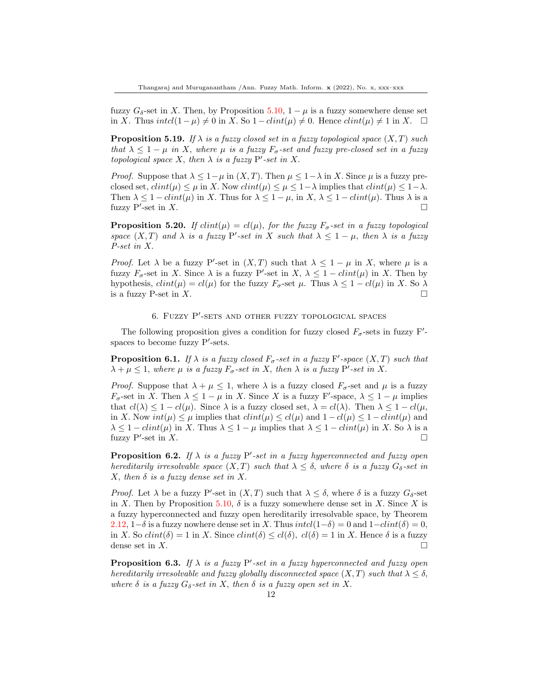fuzzy  $G_{\delta}$ -set in X. Then, by Proposition [5.10,](#page-9-0) 1 –  $\mu$  is a fuzzy somewhere dense set in X. Thus intcl(1−µ)  $\neq 0$  in X. So 1−clint(µ)  $\neq 0$ . Hence clint(µ)  $\neq 1$  in X.  $\Box$ 

**Proposition 5.19.** If  $\lambda$  is a fuzzy closed set in a fuzzy topological space  $(X, T)$  such that  $\lambda \leq 1 - \mu$  in X, where  $\mu$  is a fuzzy  $F_{\sigma}$ -set and fuzzy pre-closed set in a fuzzy topological space X, then  $\lambda$  is a fuzzy P'-set in X.

*Proof.* Suppose that  $\lambda \leq 1 - \mu$  in  $(X, T)$ . Then  $\mu \leq 1 - \lambda$  in X. Since  $\mu$  is a fuzzy preclosed set,  $clint(\mu) \leq \mu$  in X. Now  $clint(\mu) \leq \mu \leq 1-\lambda$  implies that  $clint(\mu) \leq 1-\lambda$ . Then  $\lambda \leq 1 - \text{clint}(\mu)$  in X. Thus for  $\lambda \leq 1 - \mu$ , in X,  $\lambda \leq 1 - \text{clint}(\mu)$ . Thus  $\lambda$  is a fuzzy P'-set in X.

**Proposition 5.20.** If  $clint(\mu) = cl(\mu)$ , for the fuzzy  $F_{\sigma}$ -set in a fuzzy topological space  $(X,T)$  and  $\lambda$  is a fuzzy P'-set in X such that  $\lambda \leq 1 - \mu$ , then  $\lambda$  is a fuzzy P-set in X.

*Proof.* Let  $\lambda$  be a fuzzy P'-set in  $(X, T)$  such that  $\lambda \leq 1 - \mu$  in X, where  $\mu$  is a fuzzy  $F_{\sigma}$ -set in X. Since  $\lambda$  is a fuzzy P'-set in X,  $\lambda \leq 1-clint(\mu)$  in X. Then by hypothesis,  $clint(\mu) = cl(\mu)$  for the fuzzy  $F_{\sigma}$ -set  $\mu$ . Thus  $\lambda \leq 1 - cl(\mu)$  in X. So  $\lambda$ is a fuzzy P-set in X.

### 6. FUZZY P'-SETS AND OTHER FUZZY TOPOLOGICAL SPACES

The following proposition gives a condition for fuzzy closed  $F_{\sigma}$ -sets in fuzzy F'spaces to become fuzzy  $P'$ -sets.

<span id="page-11-0"></span>**Proposition 6.1.** If  $\lambda$  is a fuzzy closed  $F_{\sigma}$ -set in a fuzzy F'-space  $(X,T)$  such that  $\lambda + \mu \leq 1$ , where  $\mu$  is a fuzzy  $F_{\sigma}$ -set in X, then  $\lambda$  is a fuzzy P'-set in X.

*Proof.* Suppose that  $\lambda + \mu \leq 1$ , where  $\lambda$  is a fuzzy closed  $F_{\sigma}$ -set and  $\mu$  is a fuzzy  $F_{\sigma}$ -set in X. Then  $\lambda \leq 1 - \mu$  in X. Since X is a fuzzy F'-space,  $\lambda \leq 1 - \mu$  implies that  $cl(\lambda) \leq 1-cl(\mu)$ . Since  $\lambda$  is a fuzzy closed set,  $\lambda = cl(\lambda)$ . Then  $\lambda \leq 1-cl(\mu)$ , in X. Now  $int(\mu) \leq \mu$  implies that  $clint(\mu) \leq cl(\mu)$  and  $1-cl(\mu) \leq 1-clint(\mu)$  and  $\lambda \leq 1 - \text{clint}(\mu)$  in X. Thus  $\lambda \leq 1 - \mu$  implies that  $\lambda \leq 1 - \text{clint}(\mu)$  in X. So  $\lambda$  is a fuzzy P'-set in  $X$ .

**Proposition 6.2.** If  $\lambda$  is a fuzzy P'-set in a fuzzy hyperconnected and fuzzy open hereditarily irresolvable space  $(X, T)$  such that  $\lambda \leq \delta$ , where  $\delta$  is a fuzzy  $G_{\delta}$ -set in X, then  $\delta$  is a fuzzy dense set in X.

*Proof.* Let  $\lambda$  be a fuzzy P'-set in  $(X, T)$  such that  $\lambda \leq \delta$ , where  $\delta$  is a fuzzy  $G_{\delta}$ -set in X. Then by Proposition [5.10,](#page-9-0)  $\delta$  is a fuzzy somewhere dense set in X. Since X is a fuzzy hyperconnected and fuzzy open hereditarily irresolvable space, by Theorem [2.12,](#page-3-1) 1–δ is a fuzzy nowhere dense set in X. Thus  $intcl(1-\delta) = 0$  and  $1-clint(\delta) = 0$ , in X. So  $clint(\delta) = 1$  in X. Since  $clint(\delta) \leq cl(\delta)$ ,  $cl(\delta) = 1$  in X. Hence  $\delta$  is a fuzzy dense set in X.

**Proposition 6.3.** If  $\lambda$  is a fuzzy P'-set in a fuzzy hyperconnected and fuzzy open hereditarily irresolvable and fuzzy globally disconnected space  $(X, T)$  such that  $\lambda \leq \delta$ , where  $\delta$  is a fuzzy  $G_{\delta}$ -set in X, then  $\delta$  is a fuzzy open set in X.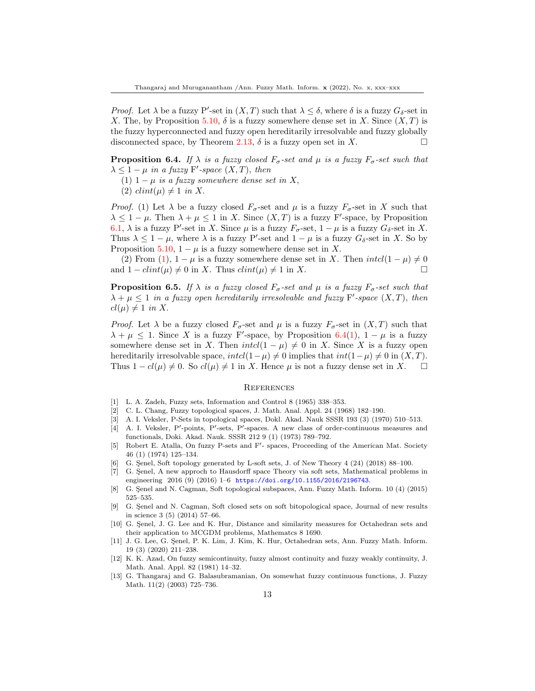*Proof.* Let  $\lambda$  be a fuzzy P'-set in  $(X, T)$  such that  $\lambda \leq \delta$ , where  $\delta$  is a fuzzy  $G_{\delta}$ -set in X. The, by Proposition [5.10,](#page-9-0)  $\delta$  is a fuzzy somewhere dense set in X. Since  $(X, T)$  is the fuzzy hyperconnected and fuzzy open hereditarily irresolvable and fuzzy globally disconnected space, by Theorem [2.13,](#page-3-2)  $\delta$  is a fuzzy open set in X.

<span id="page-12-13"></span>**Proposition 6.4.** If  $\lambda$  is a fuzzy closed  $F_{\sigma}$ -set and  $\mu$  is a fuzzy  $F_{\sigma}$ -set such that  $\lambda \leq 1 - \mu$  in a fuzzy F'-space  $(X, T)$ , then

- (1)  $1 \mu$  is a fuzzy somewhere dense set in X,
- (2)  $clint(\mu) \neq 1$  in X.

*Proof.* (1) Let  $\lambda$  be a fuzzy closed  $F_{\sigma}$ -set and  $\mu$  is a fuzzy  $F_{\sigma}$ -set in X such that  $\lambda \leq 1 - \mu$ . Then  $\lambda + \mu \leq 1$  in X. Since  $(X, T)$  is a fuzzy F'-space, by Proposition [6.1,](#page-11-0)  $\lambda$  is a fuzzy P'-set in X. Since  $\mu$  is a fuzzy  $F_{\sigma}$ -set,  $1 - \mu$  is a fuzzy  $G_{\delta}$ -set in X. Thus  $\lambda \leq 1 - \mu$ , where  $\lambda$  is a fuzzy P'-set and  $1 - \mu$  is a fuzzy  $G_{\delta}$ -set in X. So by Proposition [5.10,](#page-9-0)  $1 - \mu$  is a fuzzy somewhere dense set in X.

(2) From (1),  $1 - \mu$  is a fuzzy somewhere dense set in X. Then  $intcl(1 - \mu) \neq 0$ and  $1-clint(\mu) \neq 0$  in X. Thus  $clint(\mu) \neq 1$  in X.

**Proposition 6.5.** If  $\lambda$  is a fuzzy closed  $F_{\sigma}$ -set and  $\mu$  is a fuzzy  $F_{\sigma}$ -set such that  $\lambda + \mu \leq 1$  in a fuzzy open hereditarily irresolvable and fuzzy F'-space  $(X, T)$ , then  $cl(\mu) \neq 1$  in X.

*Proof.* Let  $\lambda$  be a fuzzy closed  $F_{\sigma}$ -set and  $\mu$  is a fuzzy  $F_{\sigma}$ -set in  $(X,T)$  such that  $\lambda + \mu \leq 1$ . Since X is a fuzzy F'-space, by Proposition [6.4\(](#page-12-13)1),  $1 - \mu$  is a fuzzy somewhere dense set in X. Then  $intcl(1 - \mu) \neq 0$  in X. Since X is a fuzzy open hereditarily irresolvable space,  $int(l-\mu) \neq 0$  implies that  $int(1-\mu) \neq 0$  in  $(X,T)$ . Thus  $1 - cl(\mu) \neq 0$ . So  $cl(\mu) \neq 1$  in X. Hence  $\mu$  is not a fuzzy dense set in X.  $\square$ 

#### **REFERENCES**

- <span id="page-12-0"></span>[1] L. A. Zadeh, Fuzzy sets, Information and Control 8 (1965) 338–353.
- <span id="page-12-1"></span>[2] C. L. Chang, Fuzzy topological spaces, J. Math. Anal. Appl. 24 (1968) 182–190.
- <span id="page-12-2"></span>[3] A. I. Veksler, P-Sets in topological spaces, Dokl. Akad. Nauk SSSR 193 (3) (1970) 510–513.
- <span id="page-12-3"></span>[4] A. I. Veksler, P'-points, P'-sets, P'-spaces. A new class of order-continuous measures and functionals, Doki. Akad. Nauk. SSSR 212 9 (1) (1973) 789–792.
- <span id="page-12-4"></span>[5] Robert E. Atalla, On fuzzy P-sets and F'- spaces, Proceeding of the American Mat. Society 46 (1) (1974) 125–134.
- <span id="page-12-5"></span>[6] G. Senel, Soft topology generated by L-soft sets, J. of New Theory  $4$  (24) (2018) 88–100.
- <span id="page-12-6"></span>[7] G. Senel, A new approch to Hausdorff space Theory via soft sets, Mathematical problems in engineering 2016 (9) (2016) 1-6 <https://doi.org/10.1155/2016/2196743>.
- <span id="page-12-7"></span>[8] G. Senel and N. Cagman, Soft topological subspaces, Ann. Fuzzy Math. Inform. 10 (4) (2015) 525–535.
- <span id="page-12-8"></span>[9] G. Sienel and N. Cagman, Soft closed sets on soft bitopological space, Journal of new results in science 3 (5) (2014) 57–66.
- <span id="page-12-9"></span>[10] G. Şenel, J. G. Lee and K. Hur, Distance and similarity measures for Octahedran sets and their application to MCGDM problems, Mathematcs 8 1690.
- <span id="page-12-10"></span>[11] J. G. Lee, G. Senel, P. K. Lim, J. Kim, K. Hur, Octahedran sets, Ann. Fuzzy Math. Inform. 19 (3) (2020) 211–238.
- <span id="page-12-11"></span>[12] K. K. Azad, On fuzzy semicontinuity, fuzzy almost continuity and fuzzy weakly continuity, J. Math. Anal. Appl. 82 (1981) 14–32.
- <span id="page-12-12"></span>[13] G. Thangaraj and G. Balasubramanian, On somewhat fuzzy continuous functions, J. Fuzzy Math. 11(2) (2003) 725–736.